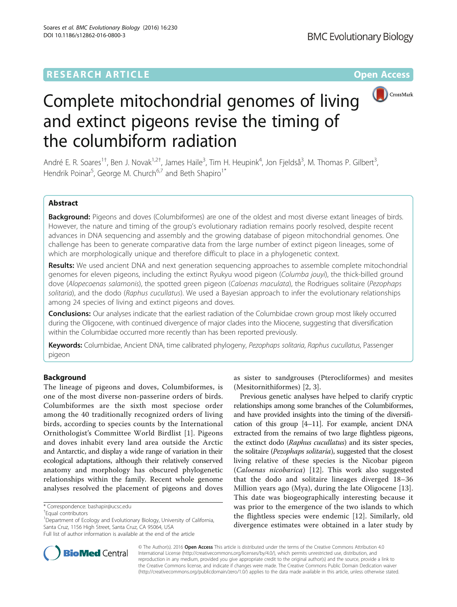## **RESEARCH ARTICLE Example 2014 12:30 The Contract of Contract ACCESS**



## Complete mitochondrial genomes of living and extinct pigeons revise the timing of the columbiform radiation

André E. R. Soares<sup>1†</sup>, Ben J. Novak<sup>1,2†</sup>, James Haile<sup>3</sup>, Tim H. Heupink<sup>4</sup>, Jon Fjeldså<sup>3</sup>, M. Thomas P. Gilbert<sup>3</sup> , Hendrik Poinar<sup>5</sup>, George M. Church<sup>6,7</sup> and Beth Shapiro<sup>1\*</sup>

## Abstract

Background: Pigeons and doves (Columbiformes) are one of the oldest and most diverse extant lineages of birds. However, the nature and timing of the group's evolutionary radiation remains poorly resolved, despite recent advances in DNA sequencing and assembly and the growing database of pigeon mitochondrial genomes. One challenge has been to generate comparative data from the large number of extinct pigeon lineages, some of which are morphologically unique and therefore difficult to place in a phylogenetic context.

Results: We used ancient DNA and next generation sequencing approaches to assemble complete mitochondrial genomes for eleven pigeons, including the extinct Ryukyu wood pigeon (Columba jouyi), the thick-billed ground dove (Alopecoenas salamonis), the spotted green pigeon (Caloenas maculata), the Rodrigues solitaire (Pezophaps solitaria), and the dodo (Raphus cucullatus). We used a Bayesian approach to infer the evolutionary relationships among 24 species of living and extinct pigeons and doves.

**Conclusions:** Our analyses indicate that the earliest radiation of the Columbidae crown group most likely occurred during the Oligocene, with continued divergence of major clades into the Miocene, suggesting that diversification within the Columbidae occurred more recently than has been reported previously.

Keywords: Columbidae, Ancient DNA, time calibrated phylogeny, Pezophaps solitaria, Raphus cucullatus, Passenger pigeon

## Background

The lineage of pigeons and doves, Columbiformes, is one of the most diverse non-passerine orders of birds. Columbiformes are the sixth most speciose order among the 40 traditionally recognized orders of living birds, according to species counts by the International Ornithologist's Committee World Birdlist [\[1\]](#page-6-0). Pigeons and doves inhabit every land area outside the Arctic and Antarctic, and display a wide range of variation in their ecological adaptations, although their relatively conserved anatomy and morphology has obscured phylogenetic relationships within the family. Recent whole genome analyses resolved the placement of pigeons and doves

<sup>1</sup> Department of Ecology and Evolutionary Biology, University of California, Santa Cruz, 1156 High Street, Santa Cruz, CA 95064, USA



Previous genetic analyses have helped to clarify cryptic relationships among some branches of the Columbiformes, and have provided insights into the timing of the diversification of this group [\[4](#page-6-0)–[11](#page-6-0)]. For example, ancient DNA extracted from the remains of two large flightless pigeons, the extinct dodo (Raphus cucullatus) and its sister species, the solitaire (Pezophaps solitaria), suggested that the closest living relative of these species is the Nicobar pigeon (Caloenas nicobarica) [[12\]](#page-6-0). This work also suggested that the dodo and solitaire lineages diverged 18–36 Million years ago (Mya), during the late Oligocene [\[13](#page-6-0)]. This date was biogeographically interesting because it was prior to the emergence of the two islands to which the flightless species were endemic [[12\]](#page-6-0). Similarly, old divergence estimates were obtained in a later study by



© The Author(s). 2016 Open Access This article is distributed under the terms of the Creative Commons Attribution 4.0 International License [\(http://creativecommons.org/licenses/by/4.0/](http://creativecommons.org/licenses/by/4.0/)), which permits unrestricted use, distribution, and reproduction in any medium, provided you give appropriate credit to the original author(s) and the source, provide a link to the Creative Commons license, and indicate if changes were made. The Creative Commons Public Domain Dedication waiver [\(http://creativecommons.org/publicdomain/zero/1.0/](http://creativecommons.org/publicdomain/zero/1.0/)) applies to the data made available in this article, unless otherwise stated.

<sup>\*</sup> Correspondence: [bashapir@ucsc.edu](mailto:bashapir@ucsc.edu) †

Equal contributors

Full list of author information is available at the end of the article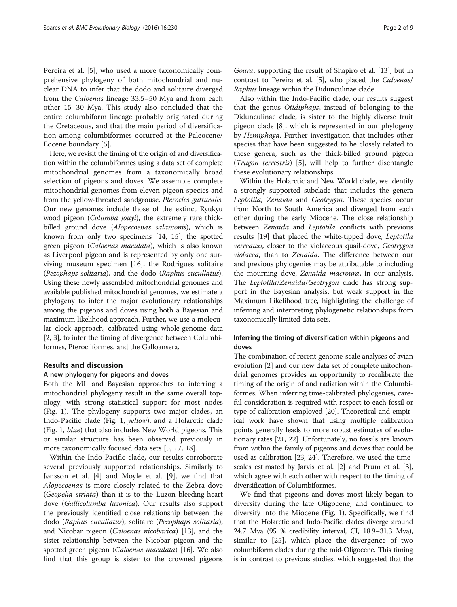Pereira et al. [[5\]](#page-6-0), who used a more taxonomically comprehensive phylogeny of both mitochondrial and nuclear DNA to infer that the dodo and solitaire diverged from the Caloenas lineage 33.5–50 Mya and from each other 15–30 Mya. This study also concluded that the entire columbiform lineage probably originated during the Cretaceous, and that the main period of diversification among columbiformes occurred at the Paleocene/ Eocene boundary [[5\]](#page-6-0).

Here, we revisit the timing of the origin of and diversification within the columbiformes using a data set of complete mitochondrial genomes from a taxonomically broad selection of pigeons and doves. We assemble complete mitochondrial genomes from eleven pigeon species and from the yellow-throated sandgrouse, Pterocles gutturalis. Our new genomes include those of the extinct Ryukyu wood pigeon (Columba jouyi), the extremely rare thickbilled ground dove (Alopecoenas salamonis), which is known from only two specimens [\[14, 15\]](#page-6-0), the spotted green pigeon (Caloenas maculata), which is also known as Liverpool pigeon and is represented by only one surviving museum specimen [\[16](#page-6-0)], the Rodrigues solitaire (Pezophaps solitaria), and the dodo (Raphus cucullatus). Using these newly assembled mitochondrial genomes and available published mitochondrial genomes, we estimate a phylogeny to infer the major evolutionary relationships among the pigeons and doves using both a Bayesian and maximum likelihood approach. Further, we use a molecular clock approach, calibrated using whole-genome data [[2, 3](#page-6-0)], to infer the timing of divergence between Columbiformes, Pterocliformes, and the Galloansera.

## Results and discussion

#### A new phylogeny for pigeons and doves

Both the ML and Bayesian approaches to inferring a mitochondrial phylogeny result in the same overall topology, with strong statistical support for most nodes (Fig. [1\)](#page-2-0). The phylogeny supports two major clades, an Indo-Pacific clade (Fig. [1,](#page-2-0) yellow), and a Holarctic clade (Fig. [1](#page-2-0), blue) that also includes New World pigeons. This or similar structure has been observed previously in more taxonomically focused data sets [[5, 17, 18](#page-6-0)].

Within the Indo-Pacific clade, our results corroborate several previously supported relationships. Similarly to Jønsson et al. [[4\]](#page-6-0) and Moyle et al. [\[9](#page-6-0)], we find that Alopecoenas is more closely related to the Zebra dove (Geopelia striata) than it is to the Luzon bleeding-heart dove (Gallicolumba luzonica). Our results also support the previously identified close relationship between the dodo (Raphus cucullatus), solitaire (Pezophaps solitaria), and Nicobar pigeon (Caloenas nicobarica) [[13](#page-6-0)], and the sister relationship between the Nicobar pigeon and the spotted green pigeon (Caloenas maculata) [\[16](#page-6-0)]. We also find that this group is sister to the crowned pigeons

Goura, supporting the result of Shapiro et al. [[13](#page-6-0)], but in contrast to Pereira et al. [\[5\]](#page-6-0), who placed the Caloenas/ Raphus lineage within the Didunculinae clade.

Also within the Indo-Pacific clade, our results suggest that the genus Otidiphaps, instead of belonging to the Didunculinae clade, is sister to the highly diverse fruit pigeon clade [[8\]](#page-6-0), which is represented in our phylogeny by Hemiphaga. Further investigation that includes other species that have been suggested to be closely related to these genera, such as the thick-billed ground pigeon (Trugon terrestris) [[5\]](#page-6-0), will help to further disentangle these evolutionary relationships.

Within the Holarctic and New World clade, we identify a strongly supported subclade that includes the genera Leptotila, Zenaida and Geotrygon. These species occur from North to South America and diverged from each other during the early Miocene. The close relationship between Zenaida and Leptotila conflicts with previous results [\[19](#page-6-0)] that placed the white-tipped dove, Leptotila verreauxi, closer to the violaceous quail-dove, Geotrygon violacea, than to Zenaida. The difference between our and previous phylogenies may be attributable to including the mourning dove, Zenaida macroura, in our analysis. The Leptotila/Zenaida/Geotrygon clade has strong support in the Bayesian analysis, but weak support in the Maximum Likelihood tree, highlighting the challenge of inferring and interpreting phylogenetic relationships from taxonomically limited data sets.

## Inferring the timing of diversification within pigeons and doves

The combination of recent genome-scale analyses of avian evolution [\[2\]](#page-6-0) and our new data set of complete mitochondrial genomes provides an opportunity to recalibrate the timing of the origin of and radiation within the Columbiformes. When inferring time-calibrated phylogenies, careful consideration is required with respect to each fossil or type of calibration employed [[20](#page-6-0)]. Theoretical and empirical work have shown that using multiple calibration points generally leads to more robust estimates of evolutionary rates [\[21, 22\]](#page-7-0). Unfortunately, no fossils are known from within the family of pigeons and doves that could be used as calibration [[23](#page-7-0), [24](#page-7-0)]. Therefore, we used the timescales estimated by Jarvis et al. [\[2](#page-6-0)] and Prum et al. [[3](#page-6-0)], which agree with each other with respect to the timing of diversification of Columbiformes.

We find that pigeons and doves most likely began to diversify during the late Oligocene, and continued to diversify into the Miocene (Fig. [1](#page-2-0)). Specifically, we find that the Holarctic and Indo-Pacific clades diverge around 24.7 Mya (95 % credibility interval, CI, 18.9–31.3 Mya), similar to [\[25\]](#page-7-0), which place the divergence of two columbiform clades during the mid-Oligocene. This timing is in contrast to previous studies, which suggested that the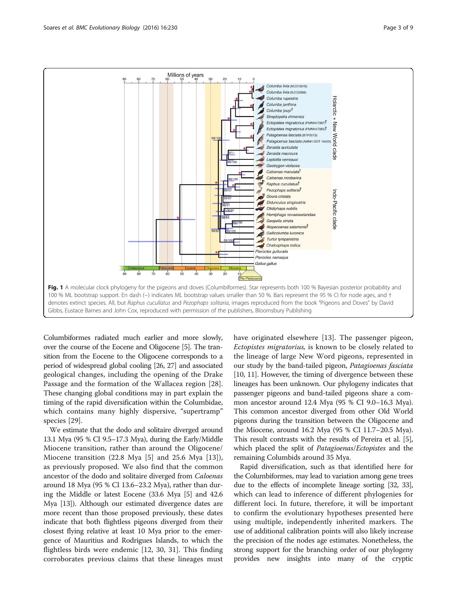<span id="page-2-0"></span>

Columbiformes radiated much earlier and more slowly, over the course of the Eocene and Oligocene [\[5\]](#page-6-0). The transition from the Eocene to the Oligocene corresponds to a period of widespread global cooling [\[26, 27](#page-7-0)] and associated geological changes, including the opening of the Drake Passage and the formation of the Wallacea region [\[28](#page-7-0)]. These changing global conditions may in part explain the timing of the rapid diversification within the Columbidae, which contains many highly dispersive, "supertramp" species [\[29](#page-7-0)].

We estimate that the dodo and solitaire diverged around 13.1 Mya (95 % CI 9.5–17.3 Mya), during the Early/Middle Miocene transition, rather than around the Oligocene/ Miocene transition (22.8 Mya [\[5](#page-6-0)] and 25.6 Mya [[13\]](#page-6-0)), as previously proposed. We also find that the common ancestor of the dodo and solitaire diverged from Caloenas around 18 Mya (95 % CI 13.6–23.2 Mya), rather than during the Middle or latest Eocene (33.6 Mya [[5\]](#page-6-0) and 42.6 Mya [[13](#page-6-0)]). Although our estimated divergence dates are more recent than those proposed previously, these dates indicate that both flightless pigeons diverged from their closest flying relative at least 10 Mya prior to the emergence of Mauritius and Rodrigues Islands, to which the flightless birds were endemic [[12,](#page-6-0) [30, 31\]](#page-7-0). This finding corroborates previous claims that these lineages must have originated elsewhere [[13\]](#page-6-0). The passenger pigeon, Ectopistes migratorius, is known to be closely related to the lineage of large New Word pigeons, represented in our study by the band-tailed pigeon, Patagioenas fasciata [[10](#page-6-0), [11](#page-6-0)]. However, the timing of divergence between these lineages has been unknown. Our phylogeny indicates that passenger pigeons and band-tailed pigeons share a common ancestor around 12.4 Mya (95 % CI 9.0–16.3 Mya). This common ancestor diverged from other Old World pigeons during the transition between the Oligocene and the Miocene, around 16.2 Mya (95 % CI 11.7–20.5 Mya). This result contrasts with the results of Pereira et al. [[5](#page-6-0)], which placed the split of Patagioenas/Ectopistes and the remaining Columbids around 35 Mya.

Rapid diversification, such as that identified here for the Columbiformes, may lead to variation among gene trees due to the effects of incomplete lineage sorting [\[32, 33](#page-7-0)], which can lead to inference of different phylogenies for different loci. In future, therefore, it will be important to confirm the evolutionary hypotheses presented here using multiple, independently inherited markers. The use of additional calibration points will also likely increase the precision of the nodes age estimates. Nonetheless, the strong support for the branching order of our phylogeny provides new insights into many of the cryptic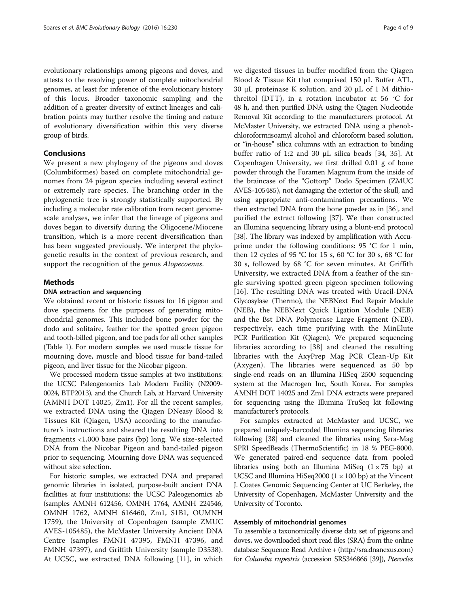evolutionary relationships among pigeons and doves, and attests to the resolving power of complete mitochondrial genomes, at least for inference of the evolutionary history of this locus. Broader taxonomic sampling and the addition of a greater diversity of extinct lineages and calibration points may further resolve the timing and nature of evolutionary diversification within this very diverse group of birds.

## Conclusions

We present a new phylogeny of the pigeons and doves (Columbiformes) based on complete mitochondrial genomes from 24 pigeon species including several extinct or extremely rare species. The branching order in the phylogenetic tree is strongly statistically supported. By including a molecular rate calibration from recent genomescale analyses, we infer that the lineage of pigeons and doves began to diversify during the Oligocene/Miocene transition, which is a more recent diversification than has been suggested previously. We interpret the phylogenetic results in the context of previous research, and support the recognition of the genus Alopecoenas.

## Methods

## DNA extraction and sequencing

We obtained recent or historic tissues for 16 pigeon and dove specimens for the purposes of generating mitochondrial genomes. This included bone powder for the dodo and solitaire, feather for the spotted green pigeon and tooth-billed pigeon, and toe pads for all other samples (Table [1\)](#page-4-0). For modern samples we used muscle tissue for mourning dove, muscle and blood tissue for band-tailed pigeon, and liver tissue for the Nicobar pigeon.

We processed modern tissue samples at two institutions: the UCSC Paleogenomics Lab Modern Facility (N2009- 0024, BTP2013), and the Church Lab, at Harvard University (AMNH DOT 14025, Zm1). For all the recent samples, we extracted DNA using the Qiagen DNeasy Blood & Tissues Kit (Qiagen, USA) according to the manufacturer's instructions and sheared the resulting DNA into fragments <1,000 base pairs (bp) long. We size-selected DNA from the Nicobar Pigeon and band-tailed pigeon prior to sequencing. Mourning dove DNA was sequenced without size selection.

For historic samples, we extracted DNA and prepared genomic libraries in isolated, purpose-built ancient DNA facilities at four institutions: the UCSC Paleogenomics ab (samples AMNH 612456, OMNH 1764, AMNH 224546, OMNH 1762, AMNH 616460, Zm1, S1B1, OUMNH 1759), the University of Copenhagen (sample ZMUC AVES-105485), the McMaster University Ancient DNA Centre (samples FMNH 47395, FMNH 47396, and FMNH 47397), and Griffith University (sample D3538). At UCSC, we extracted DNA following [[11\]](#page-6-0), in which we digested tissues in buffer modified from the Qiagen Blood & Tissue Kit that comprised 150 μL Buffer ATL, 30 μL proteinase K solution, and 20 μL of 1 M dithiothreitol (DTT), in a rotation incubator at 56 °C for 48 h, and then purified DNA using the Qiagen Nucleotide Removal Kit according to the manufacturers protocol. At McMaster University, we extracted DNA using a phenol: chloroform:isoamyl alcohol and chloroform based solution, or "in-house" silica columns with an extraction to binding buffer ratio of 1:2 and 30 μL silica beads [[34, 35\]](#page-7-0). At Copenhagen University, we first drilled 0.01 g of bone powder through the Foramen Magnum from the inside of the braincase of the "Gottorp" Dodo Specimen (ZMUC AVES-105485), not damaging the exterior of the skull, and using appropriate anti-contamination precautions. We then extracted DNA from the bone powder as in [\[36\]](#page-7-0), and purified the extract following [\[37\]](#page-7-0). We then constructed an Illumina sequencing library using a blunt-end protocol [[38](#page-7-0)]. The library was indexed by amplification with Accuprime under the following conditions: 95 °C for 1 min, then 12 cycles of 95 °C for 15 s, 60 °C for 30 s, 68 °C for 30 s, followed by 68 °C for seven minutes. At Griffith University, we extracted DNA from a feather of the single surviving spotted green pigeon specimen following [[16](#page-6-0)]. The resulting DNA was treated with Uracil-DNA Glycosylase (Thermo), the NEBNext End Repair Module (NEB), the NEBNext Quick Ligation Module (NEB) and the Bst DNA Polymerase Large Fragment (NEB), respectively, each time purifying with the MinElute PCR Purification Kit (Qiagen). We prepared sequencing libraries according to [\[38\]](#page-7-0) and cleaned the resulting libraries with the AxyPrep Mag PCR Clean-Up Kit (Axygen). The libraries were sequenced as 50 bp single-end reads on an Illumina HiSeq 2500 sequencing system at the Macrogen Inc, South Korea. For samples AMNH DOT 14025 and Zm1 DNA extracts were prepared for sequencing using the Illumina TruSeq kit following manufacturer's protocols.

For samples extracted at McMaster and UCSC, we prepared uniquely-barcoded Illumina sequencing libraries following [\[38\]](#page-7-0) and cleaned the libraries using Sera-Mag SPRI SpeedBeads (ThermoScientific) in 18 % PEG-8000. We generated paired-end sequence data from pooled libraries using both an Illumina MiSeq  $(1 \times 75)$  bp) at UCSC and Illumina HiSeq2000  $(1 \times 100 \text{ bp})$  at the Vincent J. Coates Genomic Sequencing Center at UC Berkeley, the University of Copenhagen, McMaster University and the University of Toronto.

### Assembly of mitochondrial genomes

To assemble a taxonomically diverse data set of pigeons and doves, we downloaded short read files (SRA) from the online database Sequence Read Archive + (<http://sra.dnanexus.com>) for Columba rupestris (accession SRS346866 [\[39](#page-7-0)]), Pterocles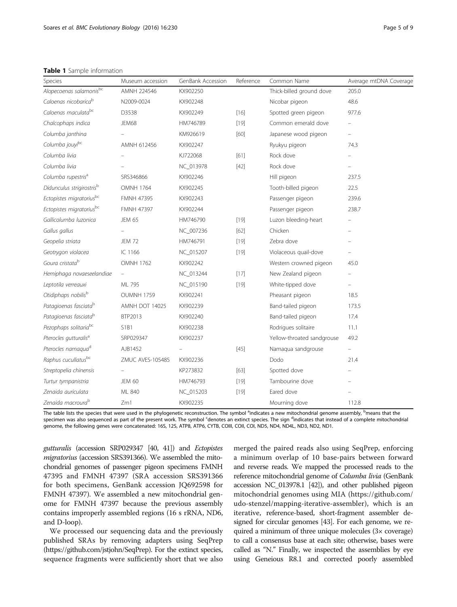<span id="page-4-0"></span>Table 1 Sample information

| Alopecoenas salamonisbc<br>Caloenas nicobarica <sup>b</sup> | AMNH 224546       | KX902250  |        |                            |       |
|-------------------------------------------------------------|-------------------|-----------|--------|----------------------------|-------|
|                                                             |                   |           |        | Thick-billed ground dove   | 205.0 |
|                                                             | N2009-0024        | KX902248  |        | Nicobar pigeon             | 48.6  |
| Caloenas maculata <sup>bc</sup>                             | D3538             | KX902249  | $[16]$ | Spotted green pigeon       | 977.6 |
| Chalcophaps indica                                          | JEM68             | HM746789  | $[19]$ | Common emerald dove        |       |
| Columba janthina                                            |                   | KM926619  | [60]   | Japanese wood pigeon       |       |
| Columba jouyibc                                             | AMNH 612456       | KX902247  |        | Ryukyu pigeon              | 74.3  |
| Columba livia                                               |                   | KJ722068  | [61]   | Rock dove                  |       |
| Columba livia                                               |                   | NC_013978 | $[42]$ | Rock dove                  |       |
| Columba rupestris <sup>a</sup>                              | SRS346866         | KX902246  |        | Hill pigeon                | 237.5 |
| Didunculus strigirostris <sup>b</sup>                       | <b>OMNH 1764</b>  | KX902245  |        | Tooth-billed pigeon        | 22.5  |
| Ectopistes migratoriusbc                                    | <b>FMNH 47395</b> | KX902243  |        | Passenger pigeon           | 239.6 |
| Ectopistes migratoriusbc                                    | <b>FMNH 47397</b> | KX902244  |        | Passenger pigeon           | 238.7 |
| Gallicolumba luzonica                                       | <b>JEM 65</b>     | HM746790  | $[19]$ | Luzon bleeding-heart       |       |
| Gallus gallus                                               |                   | NC_007236 | [62]   | Chicken                    |       |
| Geopelia striata                                            | <b>JEM 72</b>     | HM746791  | $[19]$ | Zebra dove                 |       |
| Geotrygon violacea                                          | IC 1166           | NC_015207 | $[19]$ | Violaceous quail-dove      |       |
| Goura cristata <sup>b</sup>                                 | <b>OMNH 1762</b>  | KX902242  |        | Western crowned pigeon     | 45.0  |
| Hemiphaga novaeseelandiae                                   | ÷                 | NC_013244 | $[17]$ | New Zealand pigeon         |       |
| Leptotila verreauxi                                         | ML 795            | NC_015190 | $[19]$ | White-tipped dove          |       |
| Otidiphaps nobilisb                                         | OUMNH 1759        | KX902241  |        | Pheasant pigeon            | 18.5  |
| Patagioenas fasciata <sup>b</sup>                           | AMNH DOT 14025    | KX902239  |        | Band-tailed pigeon         | 173.5 |
| Patagioenas fasciata <sup>b</sup>                           | BTP2013           | KX902240  |        | Band-tailed pigeon         | 17.4  |
| Pezophaps solitariabc                                       | S1B1              | KX902238  |        | Rodrigues solitaire        | 11.1  |
| Pterocles gutturalis <sup>a</sup>                           | SRP029347         | KX902237  |        | Yellow-throated sandgrouse | 49.2  |
| Pterocles namaqua <sup>d</sup>                              | AJB1452           |           | $[45]$ | Namaqua sandgrouse         |       |
| Raphus cucullatusbc                                         | ZMUC AVES-105485  | KX902236  |        | Dodo                       | 21.4  |
| Streptopelia chinensis                                      |                   | KP273832  | $[63]$ | Spotted dove               |       |
| Turtur tympanistria                                         | <b>JEM 60</b>     | HM746793  | $[19]$ | Tambourine dove            |       |
| Zenaida auriculata                                          | ML 840            | NC_015203 | $[19]$ | Eared dove                 |       |
| Zenaida macroura <sup>b</sup>                               | Zm1               | KX902235  |        | Mourning dove              | 112.8 |

ecies that were used in the phylogenetic reconstruction. The symbol <sup>a</sup>indicates a new mi indicates a new mitochondrial genome assembly, <sup>b</sup>means that the specimen was also sequenced as part of the present work. The symbol <sup>c</sup>denotes an extinct species. The sign <sup>d</sup>indicates that instead of a complete mitochondrial genome, the following genes were concatenated: 16S, 12S, ATP8, ATP6, CYTB, COIII, COII, COI, ND5, ND4, ND4L, ND3, ND2, ND1.

gutturalis (accession SRP029347 [\[40, 41\]](#page-7-0)) and Ectopistes migratorius (accession SRS391366). We assembled the mitochondrial genomes of passenger pigeon specimens FMNH 47395 and FMNH 47397 (SRA accession SRS391366 for both specimens, GenBank accession JQ692598 for FMNH 47397). We assembled a new mitochondrial genome for FMNH 47397 because the previous assembly contains improperly assembled regions (16 s rRNA, ND6, and D-loop).

We processed our sequencing data and the previously published SRAs by removing adapters using SeqPrep ([https://github.com/jstjohn/SeqPrep\)](https://github.com/jstjohn/SeqPrep). For the extinct species, sequence fragments were sufficiently short that we also merged the paired reads also using SeqPrep, enforcing a minimum overlap of 10 base-pairs between forward and reverse reads. We mapped the processed reads to the reference mitochondrial genome of Columba livia (GenBank accession NC\_013978.1 [\[42](#page-7-0)]), and other published pigeon mitochondrial genomes using MIA [\(https://github.com/](https://github.com/udo-stenzel/mapping-iterative-assembler) [udo-stenzel/mapping-iterative-assembler](https://github.com/udo-stenzel/mapping-iterative-assembler)), which is an iterative, reference-based, short-fragment assembler designed for circular genomes [\[43\]](#page-7-0). For each genome, we required a minimum of three unique molecules (3× coverage) to call a consensus base at each site; otherwise, bases were called as "N." Finally, we inspected the assemblies by eye using Geneious R8.1 and corrected poorly assembled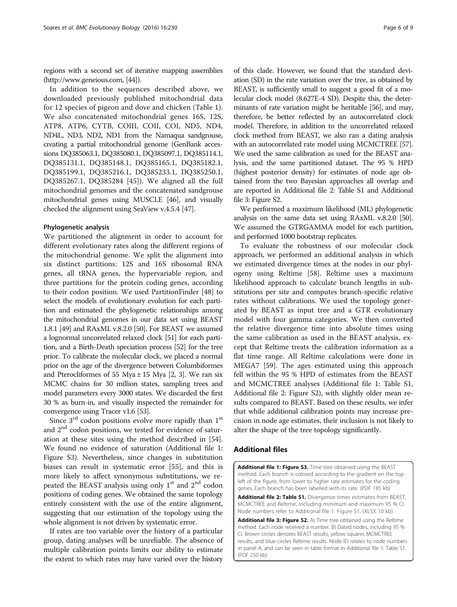regions with a second set of iterative mapping assemblies (<http://www.geneious.com>, [\[44](#page-7-0)]).

In addition to the sequences described above, we downloaded previously published mitochondrial data for 12 species of pigeon and dove and chicken (Table [1](#page-4-0)). We also concatenated mitochondrial genes 16S, 12S, ATP8, ATP6, CYTB, COIII, COII, COI, ND5, ND4, ND4L, ND3, ND2, ND1 from the Namaqua sandgrouse, creating a partial mitochondrial genome (GenBank accessions DQ385063.1, DQ385080.1, DQ385097.1, DQ385114.1, DQ385131.1, DQ385148.1, DQ385165.1, DQ385182.1, DQ385199.1, DQ385216.1, DQ385233.1, DQ385250.1, DQ385267.1, DQ385284 [\[45](#page-7-0)]). We aligned all the full mitochondrial genomes and the concatenated sandgrouse mitochondrial genes using MUSCLE [\[46](#page-7-0)], and visually checked the alignment using SeaView v.4.5.4 [\[47\]](#page-7-0).

#### Phylogenetic analysis

We partitioned the alignment in order to account for different evolutionary rates along the different regions of the mitochondrial genome. We split the alignment into six distinct partitions: 12S and 16S ribosomal RNA genes, all tRNA genes, the hypervariable region, and three partitions for the protein coding genes, according to their codon position. We used PartitionFinder [[48\]](#page-7-0) to select the models of evolutionary evolution for each partition and estimated the phylogenetic relationships among the mitochondrial genomes in our data set using BEAST 1.8.1 [[49\]](#page-7-0) and RAxML v.8.2.0 [\[50\]](#page-7-0). For BEAST we assumed a lognormal uncorrelated relaxed clock [\[51](#page-7-0)] for each partition, and a Birth-Death speciation process [\[52](#page-7-0)] for the tree prior. To calibrate the molecular clock, we placed a normal prior on the age of the divergence between Columbiformes and Pterocliformes of 55 Mya  $\pm$  15 Mya [[2](#page-6-0), [3](#page-6-0)]. We ran six MCMC chains for 30 million states, sampling trees and model parameters every 3000 states. We discarded the first 30 % as burn-in, and visually inspected the remainder for convergence using Tracer v1.6 [[53](#page-7-0)].

Since  $3<sup>rd</sup>$  codon positions evolve more rapidly than  $1<sup>st</sup>$ and 2<sup>nd</sup> codon positions, we tested for evidence of saturation at these sites using the method described in [\[54](#page-7-0)]. We found no evidence of saturation (Additional file 1: Figure S3). Nevertheless, since changes in substitution biases can result in systematic error [\[55](#page-7-0)], and this is more likely to affect synonymous substitutions, we repeated the BEAST analysis using only  $1<sup>st</sup>$  and  $2<sup>nd</sup>$  codon positions of coding genes. We obtained the same topology entirely consistent with the use of the entire alignment, suggesting that our estimation of the topology using the whole alignment is not driven by systematic error.

If rates are too variable over the history of a particular group, dating analyses will be unreliable. The absence of multiple calibration points limits our ability to estimate the extent to which rates may have varied over the history

of this clade. However, we found that the standard deviation (SD) in the rate variation over the tree, as obtained by BEAST, is sufficiently small to suggest a good fit of a molecular clock model (8.627E-4 SD). Despite this, the determinants of rate variation might be heritable [[56](#page-7-0)], and may, therefore, be better reflected by an autocorrelated clock model. Therefore, in addition to the uncorrelated relaxed clock method from BEAST, we also ran a dating analysis with an autocorrelated rate model using MCMCTREE [\[57](#page-7-0)]. We used the same calibration as used for the BEAST analysis, and the same partitioned dataset. The 95 % HPD (highest posterior density) for estimates of node age obtained from the two Bayesian approaches all overlap and are reported in Additional file 2: Table S1 and Additional file 3: Figure S2.

We performed a maximum likelihood (ML) phylogenetic analysis on the same data set using RAxML v.8.2.0 [\[50](#page-7-0)]. We assumed the GTRGAMMA model for each partition, and performed 1000 bootstrap replicates.

To evaluate the robustness of our molecular clock approach, we performed an additional analysis in which we estimated divergence times at the nodes in our phylogeny using Reltime [[58\]](#page-7-0). Reltime uses a maximum likelihood approach to calculate branch lengths in substitutions per site and computes branch-specific relative rates without calibrations. We used the topology generated by BEAST as input tree and a GTR evolutionary model with four gamma categories. We then converted the relative divergence time into absolute times using the same calibration as used in the BEAST analysis, except that Reltime treats the calibration information as a flat time range. All Reltime calculations were done in MEGA7 [[59](#page-8-0)]. The ages estimated using this approach fell within the 95 % HPD of estimates from the BEAST and MCMCTREE analyses (Additional file 1: Table S1, Additional file 2: Figure S2), with slightly older mean results compared to BEAST. Based on these results, we infer that while additional calibration points may increase precision in node age estimates, their inclusion is not likely to alter the shape of the tree topology significantly.

## Additional files

[Additional file 1: Figure S3.](dx.doi.org/10.1186/s12862-016-0800-3) Time tree obtained using the BEAST method. Each branch is colored according to the gradient on the top left of the figure, from lower to higher rate estimates for the coding genes. Each branch has been labelled with its rate. (PDF 185 kb)

[Additional file 2: Table S1.](dx.doi.org/10.1186/s12862-016-0800-3) Divergence times estimates from BEAST, MCMCTREE and Reltime, including minimum and maximum 95 % CI. Node numbers refer to Additional file 1: Figure S1. (XLSX 10 kb)

[Additional file 3: Figure S2.](dx.doi.org/10.1186/s12862-016-0800-3) A) Time tree obtained using the Reltime method. Each node received a number. B) Dated nodes, including 95 % CI. Brown circles denotes BEAST results, yellow squares MCMCTREE results, and blue circles Reltime results. Node ID relates to node numbers in panel A, and can be seen in table format in Additional file 1: Table S1. (PDF 250 kb)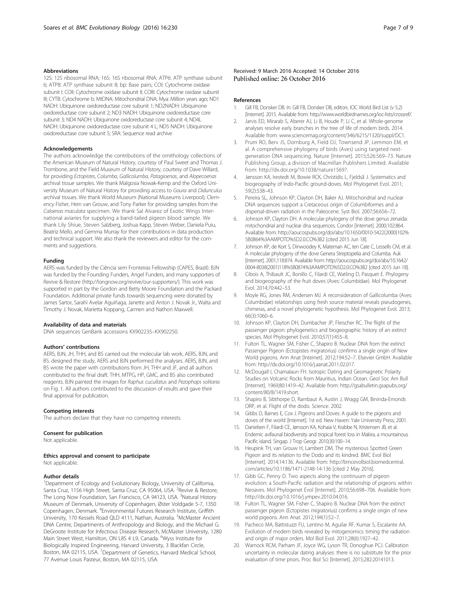<span id="page-6-0"></span>12S: 12S ribosomal RNA; 16S: 16S ribosomal RNA; ATP6: ATP synthase subunit 6; ATP8: ATP synthase subunit 8; bp: Base pairs; COI: Cytochrome oxidase subunit I; COII: Cytochrome oxidase subunit II; COIII: Cytochrome oxidase subunit III; CYTB: Cytochrome b; MtDNA: Mitochondrial DNA; Mya: Million years ago; ND1 NADH: Ubiquinone oxidoreductase core subunit 1; ND2NADH: Ubiquinone oxidoreductase core subunit 2; ND3 NADH: Ubiquinone oxidoreductase core subunit 3; ND4 NADH: Ubiquinone oxidoreductase core subunit 4; ND4L NADH: Ubiquinone oxidoreductase core subunit 4 L; ND5 NADH: Ubiquinone oxidoreductase core subunit 5; SRA: Sequence read archive

#### Acknowledgements

The authors acknowledge the contributions of the ornithology collections of the American Museum of Natural History, courtesy of Paul Sweet and Thomas J. Trombone, and the Field Museum of Natural History, courtesy of Dave Willard, for providing Ectopistes, Columba, Gallicolumba, Patagioenas, and Alopecoenas archival tissue samples. We thank Malgosia Nowak-Kemp and the Oxford University Museum of Natural History for providing access to Goura and Didunculus archival tissues. We thank World Museum (National Museums Liverpool), Clemency Fisher, Hein van Grouw, and Tony Parker for providing samples from the Caloenas maculata specimen. We thank Sal Alvarez of Exotic Wings International aviaries for supplying a band-tailed pigeon blood sample. We thank Lily Shiue, Steven Salzberg, Joshua Kapp, Steven Weber, Daniela Puiu, Beatriz Mello, and Gemma Murray for their contributions in data production and technical support. We also thank the reviewers and editor for the comments and suggestions.

#### Funding

AERS was funded by the Ciência sem Fronteiras Fellowship (CAPES, Brazil). BJN was funded by the Founding Funders, Angel Funders, and many supporters of Revive & Restore (<http://longnow.org/revive/our-supporters/>). This work was supported in part by the Gordon and Betty Moore Foundation and the Packard Foundation. Additional private funds towards sequencing were donated by James Sartor, Sarahí Avelar Aguiñaga, Janette and Anton J. Novak Jr., Walta and Timothy J. Novak, Marietta Koppang, Carmen and Nathon Maxwell.

#### Availability of data and materials

DNA sequences GenBank accessions KX902235–KX902250.

#### Authors' contributions

AERS, BJN, JH, THH, and BS carried out the molecular lab work, AERS, BJN, and BS. designed the study, AERS and BJN performed the analyses. AERS, BJN, and BS wrote the paper with contributions from JH, THH and JF, and all authors contributed to the final draft. THH, MTPG, HP, GMC, and BS also contributed reagents. BJN painted the images for Raphus cucullatus and Pezophaps solitaria on Fig. [1](#page-2-0). All authors contributed to the discussion of results and gave their final approval for publication.

#### Competing interests

The authors declare that they have no competing interests.

#### Consent for publication

Not applicable.

#### Ethics approval and consent to participate Not applicable.

#### Author details

<sup>1</sup>Department of Ecology and Evolutionary Biology, University of California, Santa Cruz, 1156 High Street, Santa Cruz, CA 95064, USA. <sup>2</sup>Revive & Restore, The Long Now Foundation, San Francisco, CA 94123, USA. <sup>3</sup>Natural History Museum of Denmark, University of Copenhagen, Øster Voldgade 5-7, 1350 Copenhagen, Denmark. <sup>4</sup>Environmental Futures Research Institute, Griffith University, 170 Kessels Road QLD 4111, Nathan, Australia. <sup>5</sup>McMaster Ancient DNA Centre, Departments of Anthropology and Biology, and the Michael G. DeGroote Institute for Infectious Disease Research, McMaster University, 1280 Main Street West, Hamilton, ON L8S 4 L9, Canada. <sup>6</sup>Wyss Institute for Biologically Inspired Engineering, Harvard University, 3 Blackfan Circle, Boston, MA 02115, USA. <sup>7</sup> Department of Genetics, Harvard Medical School, 77 Avenue Louis Pasteur, Boston, MA 02115, USA.

#### Received: 9 March 2016 Accepted: 14 October 2016 Published online: 26 October 2016

#### References

- 1. Gill FB, Donsker DB. In: Gill FB, Donsker DB, editors. IOC World Bird List (v 5.2) [Internet]. 2015. Available from:<http://www.worldbirdnames.org/ioc-lists/crossref/>.
- Jarvis ED, Mirarab S, Aberer AJ, Li B, Houde P, Li C, et al. Whole-genome analyses resolve early branches in the tree of life of modern birds. 2014. Available from: [www.sciencemag.org/content/346/6215/1320/suppl/DC1](http://www.sciencemag.org/content/346/6215/1320/suppl/DC1).
- 3. Prum RO, Berv JS, Dornburg A, Field DJ, Townsend JP, Lemmon EM, et al. A comprehensive phylogeny of birds (Aves) using targeted nextgeneration DNA sequencing. Nature [Internet]. 2015;526:569–73. Nature Publishing Group, a division of Macmillan Publishers Limited. Available from: [http://dx.doi.org/10.1038/nature15697.](http://dx.doi.org/10.1038/nature15697)
- 4. Jønsson KA, Irestedt M, Bowie RCK, Christidis L, Fjeldså J. Systematics and biogeography of Indo-Pacific ground-doves. Mol Phylogenet Evol. 2011; 59(2):538–43.
- Pereira SL, Johnson KP, Clayton DH, Baker AJ. Mitochondrial and nuclear DNA sequences support a Cretaceous origin of Columbiformes and a dispersal-driven radiation in the Paleocene. Syst Biol. 2007;56:656–72.
- 6. Johnson KP, Clayton DH. A molecular phylogeny of the dove genus zenaida: mitochondrial and nuclear dna sequences. Condor [Internet]. 2000;102:864. Available from: [http://aoucospubs.org/doi/abs/10.1650/0010-5422\(2000\)102%](http://aoucospubs.org/doi/abs/10.1650/0010-5422(2000)102%5B0864%3AAMPOTD%5D2.0.CO%3B2) [5B0864%3AAMPOTD%5D2.0.CO%3B2](http://aoucospubs.org/doi/abs/10.1650/0010-5422(2000)102%5B0864%3AAMPOTD%5D2.0.CO%3B2) [cited 2015 Jun 18].
- Johnson KP, de Kort S, Dinwoodey K, Mateman AC, ten Cate C, Lessells CM, et al. A molecular phylogeny of the dove Genera Streptopelia and Columba. Auk [Internet]. 2001;118:874. Available from: [http://aoucospubs.org/doi/abs/10.1642/](http://aoucospubs.org/doi/abs/10.1642/0004-8038(2001)118%5B0874%3AAMPOTD%5D2.0.CO%3B2) [0004-8038\(2001\)118%5B0874%3AAMPOTD%5D2.0.CO%3B2](http://aoucospubs.org/doi/abs/10.1642/0004-8038(2001)118%5B0874%3AAMPOTD%5D2.0.CO%3B2) [cited 2015 Jun 18].
- 8. Cibois A, Thibault JC, Bonillo C, Filardi CE, Watling D, Pasquet E. Phylogeny and biogeography of the fruit doves (Aves: Columbidae). Mol Phylogenet Evol. 2014;70:442–53.
- 9. Moyle RG, Jones RM, Andersen MJ. A reconsideration of Gallicolumba (Aves: Columbidae) relationships using fresh source material reveals pseudogenes, chimeras, and a novel phylogenetic hypothesis. Mol Phylogenet Evol. 2013; 66(3):1060–6.
- 10. Johnson KP, Clayton DH, Dumbacher JP, Fleischer RC. The flight of the passenger pigeon: phylogenetics and biogeographic history of an extinct species. Mol Phylogenet Evol. 2010;57(1):455–8.
- 11. Fulton TL, Wagner SM, Fisher C, Shapiro B. Nuclear DNA from the extinct Passenger Pigeon (Ectopistes migratorius) confirms a single origin of New World pigeons. Ann Anat [Internet]. 2012;194:52–7. Elsevier GmbH. Available from: [http://dx.doi.org/10.1016/j.aanat.2011.02.017.](http://dx.doi.org/10.1016/j.aanat.2011.02.017)
- 12. McDougall I, Chamalaun FH. Isotopic Dating and Geomagnetic Polarity Studies on Volcanic Rocks from Mauritius, Indian Ocean. Geol Soc Am Bull [Internet]. 1969;80:1419–42. Available from: [http://gsabulletin.gsapubs.org/](http://gsabulletin.gsapubs.org/content/80/8/1419.short) [content/80/8/1419.short.](http://gsabulletin.gsapubs.org/content/80/8/1419.short)
- 13. Shapiro B, Sibthorpe D, Rambaut A, Austin J, Wragg GM, Bininda-Emonds ORP, et al. Flight of the dodo. Science. 2002.
- 14. Gibbs D, Barnes E, Cox J. Pigeons and Doves: A guide to the pigeons and doves of the world [Internet]. 1st ed. New Haven: Yale University Press; 2001.
- 15. Danielsen F, Filardi CE, Jønsson KA, Kohaia V, Krabbe N, Kristensen JB, et al. Endemic avifaunal biodiversity and tropical forest loss in Makira, a mountainous Pacific island. Singap. J Trop Geogr. 2010;30:100–14.
- 16. Heupink TH, van Grouw H, Lambert DM. The mysterious Spotted Green Pigeon and its relation to the Dodo and its kindred. BMC Evol Biol [Internet]. 2014;14:136. Available from: [http://bmcevolbiol.biomedcentral.](http://bmcevolbiol.biomedcentral.com/articles/10.1186/1471-2148-14-136) [com/articles/10.1186/1471-2148-14-136](http://bmcevolbiol.biomedcentral.com/articles/10.1186/1471-2148-14-136) [cited 2 May 2016].
- 17. Gibb GC, Penny D. Two aspects along the continuum of pigeon evolution: a South-Pacific radiation and the relationship of pigeons within Neoaves. Mol Phylogenet Evol [Internet]. 2010;56:698–706. Available from: [http://dx.doi.org/10.1016/j.ympev.2010.04.016.](http://dx.doi.org/10.1016/j.ympev.2010.04.016)
- 18. Fulton TL, Wagner SM, Fisher C, Shapiro B. Nuclear DNA from the extinct passenger pigeon (Ectopistes migratorius) confirms a single origin of new world pigeons. Ann Anat. 2012;194(1):52–7.
- 19. Pacheco MA, Battistuzzi FU, Lentino M, Aguilar RF, Kumar S, Escalante AA. Evolution of modern birds revealed by mitogenomics: timing the radiation and origin of major orders. Mol Biol Evol. 2011;28(6):1927–42.
- 20. Warnock RCM, Parham JF, Joyce WG, Lyson TR, Donoghue PCJ. Calibration uncertainty in molecular dating analyses: there is no substitute for the prior evaluation of time priors. Proc Biol Sci [Internet]. 2015;282:20141013.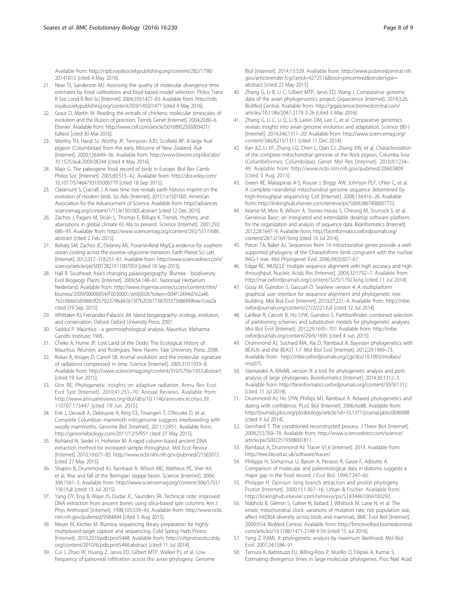<span id="page-7-0"></span>Available from: [http://rspb.royalsocietypublishing.org/content/282/1798/](http://rspb.royalsocietypublishing.org/content/282/1798/20141013) [20141013](http://rspb.royalsocietypublishing.org/content/282/1798/20141013) [cited 4 May 2016].

- 21. Near TJ, Sanderson MJ. Assessing the quality of molecular divergence time estimates by fossil calibrations and fossil-based model selection. Philos Trans R Soc Lond B Biol Sci [Internet]. 2004;359:1477–83. Available from: [http://rstb.](http://rstb.royalsocietypublishing.org/content/359/1450/1477) [royalsocietypublishing.org/content/359/1450/1477](http://rstb.royalsocietypublishing.org/content/359/1450/1477) [cited 4 May 2016].
- 22. Graur D, Martin W. Reading the entrails of chickens: molecular timescales of evolution and the illusion of precision. Trends Genet [Internet]. 2004;20:80–6. Elsevier. Available from: [http://www.cell.com/article/S0168952503003421/](http://www.cell.com/article/S0168952503003421/fulltext) [fulltext](http://www.cell.com/article/S0168952503003421/fulltext) [cited 30 Mar 2016].
- 23. Worthy TH, Hand SJ, Worthy JP, Tennyson AJD, Scofield RP. A large fruit pigeon (Columbidae) from the early Miocene of New Zealand. Auk [Internet]. 2009;126:649–56. Available from: [http://www.bioone.org/doi/abs/](http://www.bioone.org/doi/abs/10.1525/auk.2009.08244) [10.1525/auk.2009.08244](http://www.bioone.org/doi/abs/10.1525/auk.2009.08244) [cited 4 May 2016].
- 24. Mayr G. The paleogene fossil record of birds in Europe. Biol Rev Camb Philos Soc [Internet]. 2005;80:515–42. Available from: [http://doi.wiley.com/](http://doi.wiley.com/10.1017/S1464793105006779) [10.1017/S1464793105006779](http://doi.wiley.com/10.1017/S1464793105006779) [cited 18 Sep 2015].
- 25. Claramunt S, Cracraft J. A new time tree reveals earth historys imprint on the evolution of modern birds. Sci Adv [Internet]. 2015;1:e1501005. American Association for the Advancement of Science. Available from: [http://advances.](http://advances.sciencemag.org/content/1/11/e1501005.abstract) [sciencemag.org/content/1/11/e1501005.abstract](http://advances.sciencemag.org/content/1/11/e1501005.abstract) [cited 12 Dec 2015].
- 26. Zachos J, Pagani M, Sloan L, Thomas E, Billups K. Trends, rhythms, and aberrations in global climate 65 Ma to present. Science [Internet]. 2001;292: 686–93. Available from: [http://www.sciencemag.org/content/292/5517/686.](http://www.sciencemag.org/content/292/5517/686.abstract) [abstract](http://www.sciencemag.org/content/292/5517/686.abstract) [cited 2 Feb 2015].
- 27. Bohaty SM, Zachos JC, Delaney ML. Foraminiferal Mg/Ca evidence for southern ocean cooling across the eocene–oligocene transition. Earth Planet Sci Lett [Internet]. 2012;317–318:251–61. Available from: [http://www.sciencedirect.com/](http://www.sciencedirect.com/science/article/pii/S0012821X11007059) [science/article/pii/S0012821X11007059](http://www.sciencedirect.com/science/article/pii/S0012821X11007059) [cited 18 Sep 2015].
- 28. Hall R. Southeast Asia's changing palaeogeography. Blumea biodiversity. Evol Biogeogr Plants [Internet]. 2009;54:148–61. Nationaal Herbarium Nederland. Available from: [http://www.ingentaconnect.com/content/nhn/](http://www.ingentaconnect.com/content/nhn/blumea/2009/00000054/F0030001/art00026?token=004f12494d7e2a46762c6b665d58663f257023796d42673f7b2f267738703375686f49bee7cea2a) [blumea/2009/00000054/F0030001/art00026?token=004f12494d7e2a46](http://www.ingentaconnect.com/content/nhn/blumea/2009/00000054/F0030001/art00026?token=004f12494d7e2a46762c6b665d58663f257023796d42673f7b2f267738703375686f49bee7cea2a) [762c6b665d58663f257023796d42673f7b2f267738703375686f49bee7cea2a](http://www.ingentaconnect.com/content/nhn/blumea/2009/00000054/F0030001/art00026?token=004f12494d7e2a46762c6b665d58663f257023796d42673f7b2f267738703375686f49bee7cea2a) cited [19 Sep 2015].
- 29. Whittaker RJ, Fernández-Palacios JM. Island biogeography: ecology, evolution, and conservation. Oxford: Oxford University Press; 2007.
- 30. Saddul P. Mauritius a geomorphological analysis. Mauritius: Mahatma Gandhi Institute; 1995.
- 31. Cheke A, Hume JP. Lost Land of the Dodo: The Ecological History of Mauritius, Réunion, and Rodrigues. New Haven: Yale University Press; 2008.
- 32. Rokas A, Krüger D, Carroll SB. Animal evolution and the molecular signature of radiations compressed in time. Science [Internet]. 2005;310:1933–8. Available from:<http://www.sciencemag.org/content/310/5756/1933.abstract> [cited 19 Jun 2015].
- 33. Glor RE. Phylogenetic insights on adaptive radiation. Annu Rev Ecol Evol Syst [Internet]. 2010;41:251–70. Annual Reviews. Available from: [http://www.annualreviews.org/doi/abs/10.1146/annurev.ecolsys.39.](http://www.annualreviews.org/doi/abs/10.1146/annurev.ecolsys.39.110707.173447) [110707.173447](http://www.annualreviews.org/doi/abs/10.1146/annurev.ecolsys.39.110707.173447) [cited 19 Jun 2015].
- 34. Enk J, Devault A, Debruyne R, King CE, Treangen T, O'Rourke D, et al. Complete Columbian mammoth mitogenome suggests interbreeding with woolly mammoths. Genome Biol [Internet]. 2011;12:R51. Available from: <http://genomebiology.com/2011/12/5/R51> cited 27 May 2015].
- 35. Rohland N, Siedel H, Hofreiter M. A rapid column-based ancient DNA extraction method for increased sample throughput. Mol Ecol Resour [Internet]. 2010;10:677–83.<http://www.ncbi.nlm.nih.gov/pubmed/21565072> [cited 27 May 2015].
- 36. Shapiro B, Drummond AJ, Rambaut A, Wilson MC, Matheus PE, Sher AV, et al. Rise and fall of the Beringian steppe bison. Science [Internet]. 2004; 306:1561–5. Available from: [http://www.sciencemag.org/content/306/5701/](http://www.sciencemag.org/content/306/5701/1561.full) [1561.full](http://www.sciencemag.org/content/306/5701/1561.full) [cited 13 Jul 2015].
- 37. Yang DY, Eng B, Waye JS, Dudar JC, Saunders SR. Technical note: improved DNA extraction from ancient bones using silica-based spin columns. Am J Phys Anthropol [Internet]. 1998;105:539–43. Available from: [http://www.ncbi.](http://www.ncbi.nlm.nih.gov/pubmed/9584894) [nlm.nih.gov/pubmed/9584894](http://www.ncbi.nlm.nih.gov/pubmed/9584894) [cited 5 Aug 2015].
- 38. Meyer M, Kircher M. Illumina sequencing library preparation for highly multiplexed target capture and sequencing. Cold Spring Harb Protoc [Internet]. 2010;2010:pdb.prot5448. Available from: [http://cshprotocols.cshlp.](http://cshprotocols.cshlp.org/content/2010/6/pdb.prot5448.abstract) [org/content/2010/6/pdb.prot5448.abstract](http://cshprotocols.cshlp.org/content/2010/6/pdb.prot5448.abstract) [cited 11 Jul 2014].
- 39. Cui J, Zhao W, Huang Z, Jarvis ED, Gilbert MTP, Walker PJ, et al. Low frequency of paleoviral infiltration across the avian phylogeny. Genome

Biol [Internet]. 2014;15:539. Available from: [http://www.pubmedcentral.nih.](http://www.pubmedcentral.nih.gov/articlerender.fcgi?artid=4272516&tool=pmcentrez&rendertype=abstract) [gov/articlerender.fcgi?artid=4272516&tool=pmcentrez&rendertype=](http://www.pubmedcentral.nih.gov/articlerender.fcgi?artid=4272516&tool=pmcentrez&rendertype=abstract) [abstract](http://www.pubmedcentral.nih.gov/articlerender.fcgi?artid=4272516&tool=pmcentrez&rendertype=abstract) [cited 22 May 2015].

- 40. Zhang G, Li B, Li C, Gilbert MTP, Jarvis ED, Wang J. Comparative genomic data of the avian phylogenomics project. Gigascience [Internet]. 2014;3:26. BioMed Central. Available from: [http://gigascience.biomedcentral.com/](http://gigascience.biomedcentral.com/articles/10.1186/2047-217X-3-26) [articles/10.1186/2047-217X-3-26](http://gigascience.biomedcentral.com/articles/10.1186/2047-217X-3-26) [cited 3 May 2016].
- 41. Zhang G, Li C, Li Q, Li B, Larkin DM, Lee C, et al. Comparative genomics reveals insights into avian genome evolution and adaptation. Science (80-) [Internet]. 2014;346:1311–20. Available from: [http://www.sciencemag.org/](http://www.sciencemag.org/content/346/6215/1311) [content/346/6215/1311](http://www.sciencemag.org/content/346/6215/1311) [cited 11 Dec 2014].
- 42. Kan XZ, Li XF, Zhang LQ, Chen L, Qian CJ, Zhang XW, et al. Characterization of the complete mitochondrial genome of the Rock pigeon, Columba livia (Columbiformes: Columbidae). Genet Mol Res [Internet]. 2010;9:1234– 49. Available from:<http://www.ncbi.nlm.nih.gov/pubmed/20603809> [cited 5 Aug 2015].
- 43. Green RE, Malaspinas A-S, Krause J, Briggs AW, Johnson PLF, Uhler C, et al. A complete neandertal mitochondrial genome sequence determined by high-throughput sequencing. Cell [Internet]. 2008;134:416–26. Available from:<http://linkinghub.elsevier.com/retrieve/pii/S0092867408007733>.
- 44. Kearse M, Moir R, Wilson A, Stones-Havas S, Cheung M, Sturrock S, et al. Geneious Basic: an integrated and extendable desktop software platform for the organization and analysis of sequence data. Bioinformatics [Internet]. 2012;28:1647–9. Available from: [http://bioinformatics.oxfordjournals.org/](http://bioinformatics.oxfordjournals.org/content/28/12/1647.long) [content/28/12/1647.long](http://bioinformatics.oxfordjournals.org/content/28/12/1647.long) [cited 10 Jul 2014].
- 45. Paton TA, Baker AJ. Sequences from 14 mitochondrial genes provide a wellsupported phylogeny of the Charadriiform birds congruent with the nuclear RAG-1 tree. Mol Phylogenet Evol. 2006;39(3):657–67.
- 46. Edgar RC. MUSCLE: multiple sequence alignment with high accuracy and high throughput. Nucleic Acids Res [Internet]. 2004;32:1792–7. Available from: <http://nar.oxfordjournals.org/content/32/5/1792.long> [cited 11 Jul 2014].
- 47. Gouy M, Guindon S, Gascuel O. SeaView version 4: A multiplatform graphical user interface for sequence alignment and phylogenetic tree building. Mol Biol Evol [Internet]. 2010;27:221–4. Available from: [http://mbe.](http://mbe.oxfordjournals.org/content/27/2/221.full) [oxfordjournals.org/content/27/2/221.full](http://mbe.oxfordjournals.org/content/27/2/221.full) [cited 12 Jul 2014].
- 48. Lanfear R, Calcott B, Ho SYW, Guindon S. Partitionfinder: combined selection of partitioning schemes and substitution models for phylogenetic analyses. Mol Biol Evol [Internet]. 2012;29:1695–701. Available from: [http://mbe.](http://mbe.oxfordjournals.org/content/29/6/1695) [oxfordjournals.org/content/29/6/1695](http://mbe.oxfordjournals.org/content/29/6/1695) [cited 4 Jun 2015].
- 49. Drummond AJ, Suchard MA, Xie D, Rambaut A. Bayesian phylogenetics with BEAUti and the BEAST 1.7. Mol Biol Evol [Internet]. 2012;29:1969–73. Available from: [http://mbe.oxfordjournals.org/cgi/doi/10.1093/molbev/](http://mbe.oxfordjournals.org/cgi/doi/10.1093/molbev/mss075) [mss075.](http://mbe.oxfordjournals.org/cgi/doi/10.1093/molbev/mss075)
- 50. Stamatakis A. RAxML version 8: a tool for phylogenetic analysis and postanalysis of large phylogenies. Bioinformatics [Internet]. 2014;30:1312–3. Available from:<http://bioinformatics.oxfordjournals.org/content/30/9/1312> [cited 15 Jul 2014].
- 51. Drummond AJ, Ho SYW, Phillips MJ, Rambaut A. Relaxed phylogenetics and dating with confidence. PLoS Biol [Internet]. 2006;4:e88. Available from: <http://journals.plos.org/plosbiology/article?id=10.1371/journal.pbio.0040088> [cited 9 Jul 2014].
- 52. Gernhard T. The conditioned reconstructed process. J Theor Biol [Internet]. 2008;253:769–78. Available from: [http://www.sciencedirect.com/science/](http://www.sciencedirect.com/science/article/pii/S0022519308001811) [article/pii/S0022519308001811](http://www.sciencedirect.com/science/article/pii/S0022519308001811).
- 53. Rambaut A, Drummond AJ. Tracer V1.6 [Internet]. 2013. Available from: <http://tree.bio.ed.ac.uk/software/tracer/>.
- 54. Philippe H, Sörhannus U, Baroin A, Perasso R, Gasse F, Adoutte A. Comparison of molecular and paleontological data in diatoms suggests a major gap in the fossil record. J Evol Biol. 1994;7:247–65.
- 55. Philippe H. Opinion: long branch attraction and protist phylogeny. Protist [Internet]. 2000;151:307–16. Urban & Fischer. Available from: [http://linkinghub.elsevier.com/retrieve/pii/S1434461004700292.](http://linkinghub.elsevier.com/retrieve/pii/S1434461004700292)
- 56. Nabholz B, Glémin S, Galtier N, Ballard J, Whitlock M, Lane N, et al. The erratic mitochondrial clock: variations of mutation rate, not population size, affect mtDNA diversity across birds and mammals. BMC Evol Biol [Internet]. 2009;9:54. BioMed Central. Available from: [http://bmcevolbiol.biomedcentral.](http://bmcevolbiol.biomedcentral.com/articles/10.1186/1471-2148-9-54) [com/articles/10.1186/1471-2148-9-54](http://bmcevolbiol.biomedcentral.com/articles/10.1186/1471-2148-9-54) [cited 15 Jul 2016].
- 57. Yang Z. PAML 4: phylogenetic analysis by maximum likelihood. Mol Biol Evol. 2007;24:1586–91.
- Tamura K, Battistuzzi FU, Billing-Ross P, Murillo O, Filipski A, Kumar S. Estimating divergence times in large molecular phylogenies. Proc Natl Acad